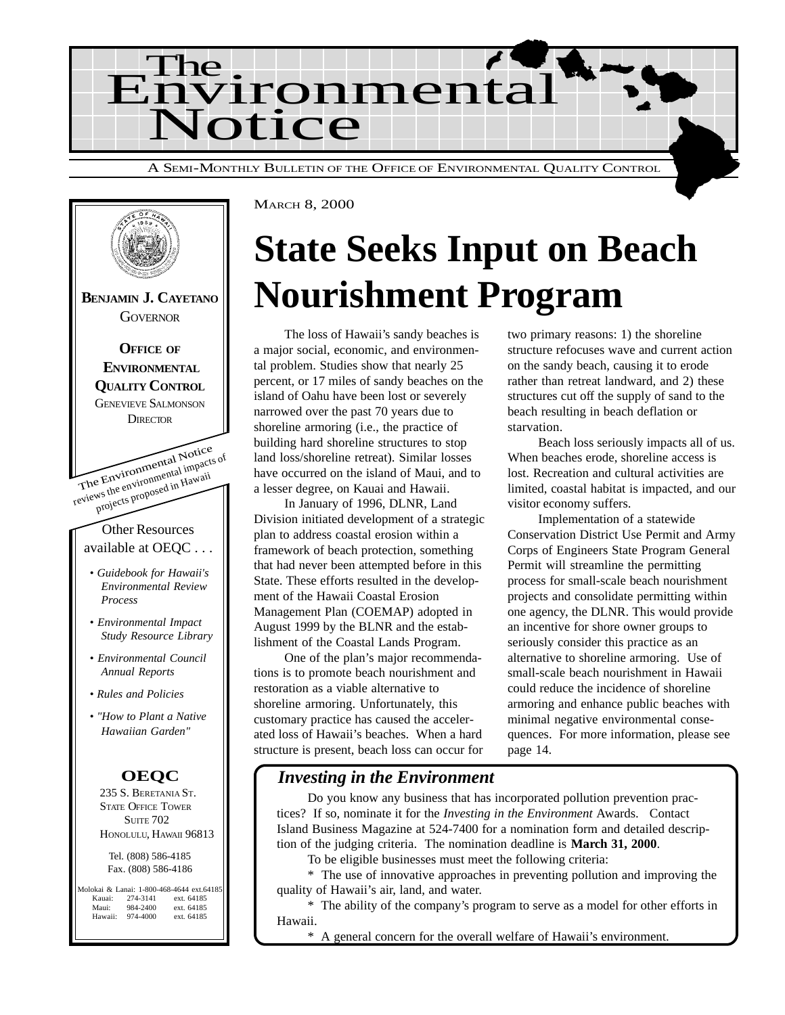



## **State Seeks Input on Beach Nourishment Program**

The loss of Hawaii's sandy beaches is a major social, economic, and environmental problem. Studies show that nearly 25 percent, or 17 miles of sandy beaches on the island of Oahu have been lost or severely narrowed over the past 70 years due to shoreline armoring (i.e., the practice of building hard shoreline structures to stop land loss/shoreline retreat). Similar losses have occurred on the island of Maui, and to a lesser degree, on Kauai and Hawaii.

In January of 1996, DLNR, Land Division initiated development of a strategic plan to address coastal erosion within a framework of beach protection, something that had never been attempted before in this State. These efforts resulted in the development of the Hawaii Coastal Erosion Management Plan (COEMAP) adopted in August 1999 by the BLNR and the establishment of the Coastal Lands Program.

One of the plan's major recommendations is to promote beach nourishment and restoration as a viable alternative to shoreline armoring. Unfortunately, this customary practice has caused the accelerated loss of Hawaii's beaches. When a hard structure is present, beach loss can occur for two primary reasons: 1) the shoreline structure refocuses wave and current action on the sandy beach, causing it to erode rather than retreat landward, and 2) these structures cut off the supply of sand to the beach resulting in beach deflation or starvation.

Beach loss seriously impacts all of us. When beaches erode, shoreline access is lost. Recreation and cultural activities are limited, coastal habitat is impacted, and our visitor economy suffers.

Implementation of a statewide Conservation District Use Permit and Army Corps of Engineers State Program General Permit will streamline the permitting process for small-scale beach nourishment projects and consolidate permitting within one agency, the DLNR. This would provide an incentive for shore owner groups to seriously consider this practice as an alternative to shoreline armoring. Use of small-scale beach nourishment in Hawaii could reduce the incidence of shoreline armoring and enhance public beaches with minimal negative environmental consequences. For more information, please see page 14.

## *Investing in the Environment*

Do you know any business that has incorporated pollution prevention practices? If so, nominate it for the *Investing in the Environment* Awards. Contact Island Business Magazine at 524-7400 for a nomination form and detailed description of the judging criteria. The nomination deadline is **March 31, 2000**.

To be eligible businesses must meet the following criteria:

\* The use of innovative approaches in preventing pollution and improving the quality of Hawaii's air, land, and water.

\* The ability of the company's program to serve as a model for other efforts in Hawaii.

\* A general concern for the overall welfare of Hawaii's environment.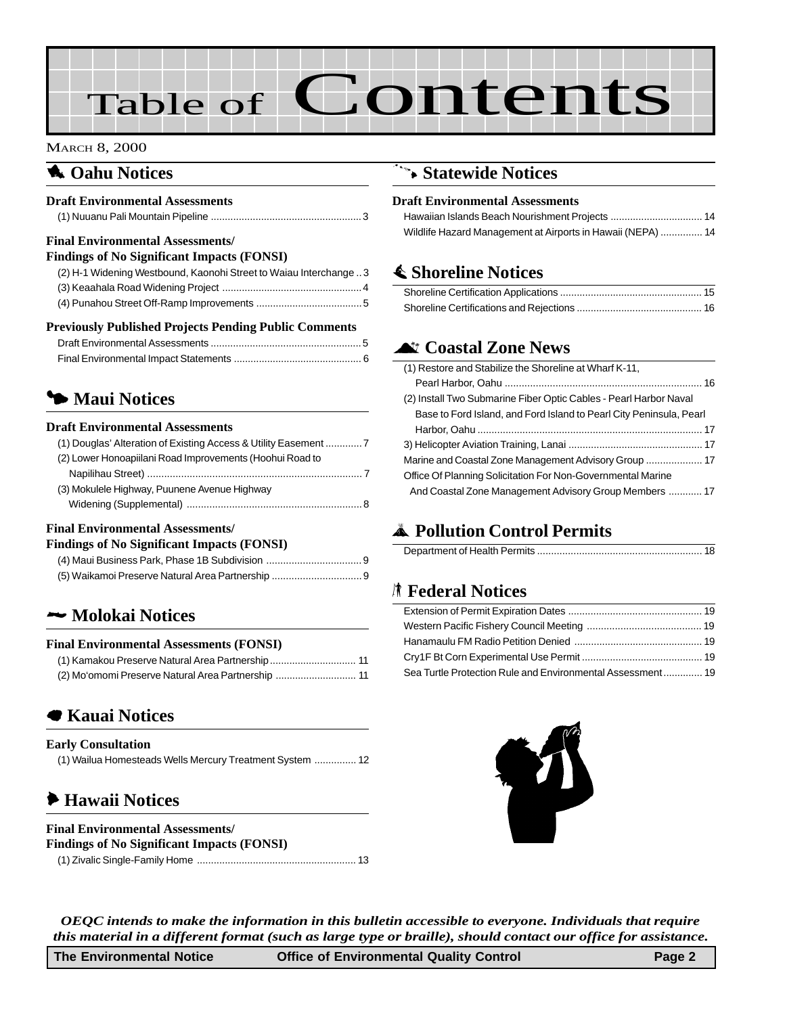# Table of Contents

#### MARCH 8, 2000

### **1** Oahu Notices

#### **Draft Environmental Assessments**

|--|

#### **Final Environmental Assessments/**

| <b>Findings of No Significant Impacts (FONSI)</b>                 |  |  |
|-------------------------------------------------------------------|--|--|
| (2) H-1 Widening Westbound, Kaonohi Street to Waiau Interchange 3 |  |  |
|                                                                   |  |  |
|                                                                   |  |  |
|                                                                   |  |  |

| <b>Previously Published Projects Pending Public Comments</b> |
|--------------------------------------------------------------|
|--------------------------------------------------------------|

## **5 Maui Notices**

#### **Draft Environmental Assessments**

| (2) Lower Honoapiilani Road Improvements (Hoohui Road to |
|----------------------------------------------------------|
|                                                          |
| (3) Mokulele Highway, Puunene Avenue Highway             |
|                                                          |
|                                                          |

#### **Final Environmental Assessments/**

## 2 **[Molokai Notices](#page-10-0)**

#### **Final Environmental Assessments (FONSI)**

## 7 **[Kauai Notices](#page-12-0)**

| <b>Early Consultation</b>                                |
|----------------------------------------------------------|
| (1) Wailua Homesteads Wells Mercury Treatment System  12 |

## 6 **Hawaii Notices**

#### **Final Environmental Assessments/**

| <b>Findings of No Significant Impacts (FONSI)</b> |  |
|---------------------------------------------------|--|
|                                                   |  |

## 9 **[Statewide Notices](#page-13-0)**

#### **Draft Environmental Assessments**

| Wildlife Hazard Management at Airports in Hawaii (NEPA)  14 |  |
|-------------------------------------------------------------|--|

## s **Shoreline Notices**

## **Air Coastal Zone News**

| (1) Restore and Stabilize the Shoreline at Wharf K-11,              |
|---------------------------------------------------------------------|
|                                                                     |
| (2) Install Two Submarine Fiber Optic Cables - Pearl Harbor Naval   |
| Base to Ford Island, and Ford Island to Pearl City Peninsula, Pearl |
|                                                                     |
|                                                                     |
|                                                                     |
| Office Of Planning Solicitation For Non-Governmental Marine         |
| And Coastal Zone Management Advisory Group Members  17              |

## V **Pollution Control Permits**

|--|

## S **Federal Notices**

| Sea Turtle Protection Rule and Environmental Assessment 19 |  |
|------------------------------------------------------------|--|



*OEQC intends to make the information in this bulletin accessible to everyone. Individuals that require this material in a different format (such as large type or braille), should contact our office for assistance.*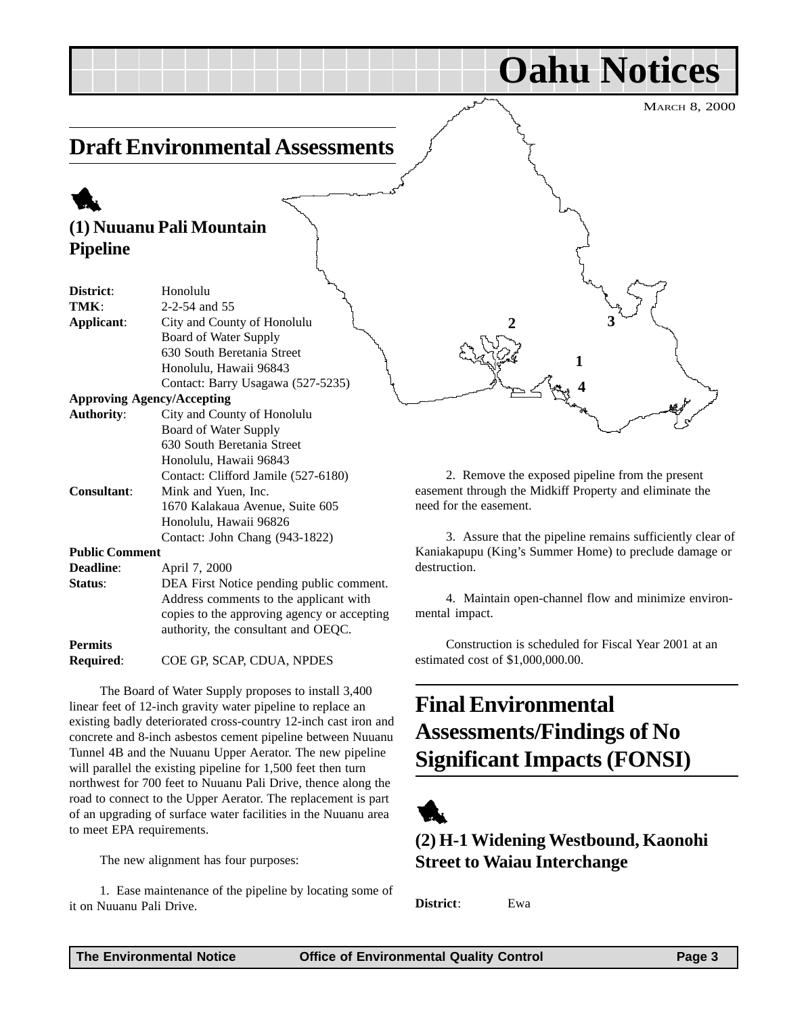**Oahu Notices**

## <span id="page-2-0"></span>**Draft Environmental Assessments**

## 1

## **(1) Nuuanu Pali Mountain Pipeline**

| District:             | Honolulu                             |
|-----------------------|--------------------------------------|
|                       |                                      |
| TMK:                  | 2-2-54 and 55                        |
| Applicant:            | City and County of Honolulu          |
|                       | Board of Water Supply                |
|                       | 630 South Beretania Street           |
|                       | Honolulu, Hawaii 96843               |
|                       | Contact: Barry Usagawa (527-5235)    |
|                       | <b>Approving Agency/Accepting</b>    |
| <b>Authority:</b>     | City and County of Honolulu          |
|                       | Board of Water Supply                |
|                       | 630 South Beretania Street           |
|                       | Honolulu, Hawaii 96843               |
|                       | Contact: Clifford Jamile (527-6180)  |
| <b>Consultant:</b>    | Mink and Yuen, Inc.                  |
|                       | 1670 Kalakaua Avenue, Suite 605      |
|                       | Honolulu, Hawaii 96826               |
|                       | Contact: John Chang (943-1822)       |
| <b>Public Comment</b> |                                      |
| <b>Deadline:</b>      | April 7, 2000                        |
| Status <sup>.</sup>   | DEA First Notice nending public comp |

ng public comment. Address comments to the applicant with copies to the approving agency or accepting authority, the consultant and OEQC. **Permits**

**Required**: COE GP, SCAP, CDUA, NPDES

The Board of Water Supply proposes to install 3,400 linear feet of 12-inch gravity water pipeline to replace an existing badly deteriorated cross-country 12-inch cast iron and concrete and 8-inch asbestos cement pipeline between Nuuanu Tunnel 4B and the Nuuanu Upper Aerator. The new pipeline will parallel the existing pipeline for 1,500 feet then turn northwest for 700 feet to Nuuanu Pali Drive, thence along the road to connect to the Upper Aerator. The replacement is part of an upgrading of surface water facilities in the Nuuanu area to meet EPA requirements.

The new alignment has four purposes:

1. Ease maintenance of the pipeline by locating some of it on Nuuanu Pali Drive.

2. Remove the exposed pipeline from the present easement through the Midkiff Property and eliminate the need for the easement.

**1**

**4**

**2 3**

3. Assure that the pipeline remains sufficiently clear of Kaniakapupu (King's Summer Home) to preclude damage or destruction.

4. Maintain open-channel flow and minimize environmental impact.

Construction is scheduled for Fiscal Year 2001 at an estimated cost of \$1,000,000.00.

## **Final Environmental Assessments/Findings of No Significant Impacts (FONSI)**



**(2) H-1 Widening Westbound, Kaonohi Street to Waiau Interchange**

**District**: Ewa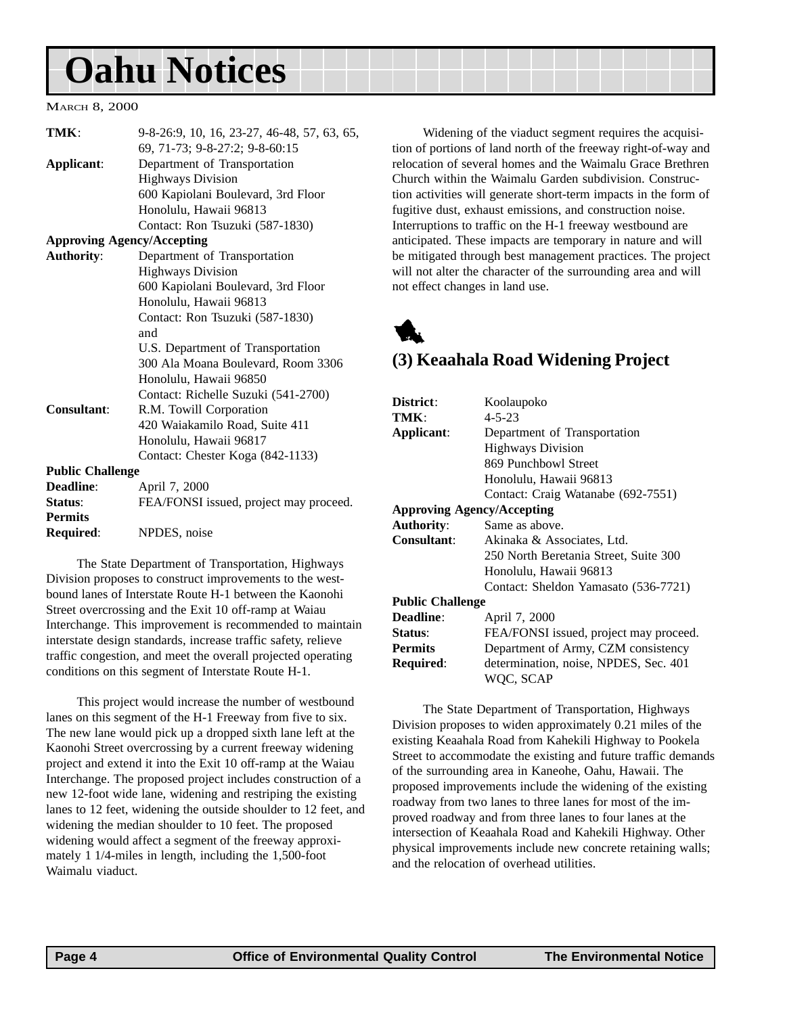## <span id="page-3-0"></span>**Oahu Notices**

#### MARCH 8, 2000

| TMK:                    | 9-8-26:9, 10, 16, 23-27, 46-48, 57, 63, 65, |
|-------------------------|---------------------------------------------|
|                         | 69, 71-73; 9-8-27:2; 9-8-60:15              |
| Applicant:              | Department of Transportation                |
|                         | <b>Highways Division</b>                    |
|                         | 600 Kapiolani Boulevard, 3rd Floor          |
|                         | Honolulu, Hawaii 96813                      |
|                         | Contact: Ron Tsuzuki (587-1830)             |
|                         | <b>Approving Agency/Accepting</b>           |
| <b>Authority:</b>       | Department of Transportation                |
|                         | <b>Highways Division</b>                    |
|                         | 600 Kapiolani Boulevard, 3rd Floor          |
|                         | Honolulu, Hawaii 96813                      |
|                         | Contact: Ron Tsuzuki (587-1830)             |
|                         | and                                         |
|                         | U.S. Department of Transportation           |
|                         | 300 Ala Moana Boulevard, Room 3306          |
|                         | Honolulu, Hawaii 96850                      |
|                         | Contact: Richelle Suzuki (541-2700)         |
| Consultant:             | R.M. Towill Corporation                     |
|                         | 420 Waiakamilo Road, Suite 411              |
|                         | Honolulu, Hawaii 96817                      |
|                         | Contact: Chester Koga (842-1133)            |
| <b>Public Challenge</b> |                                             |
| <b>Deadline:</b>        | April 7, 2000                               |
| Status:                 | FEA/FONSI issued, project may proceed.      |
| <b>Permits</b>          |                                             |
| <b>Required:</b>        | NPDES, noise                                |

The State Department of Transportation, Highways Division proposes to construct improvements to the westbound lanes of Interstate Route H-1 between the Kaonohi Street overcrossing and the Exit 10 off-ramp at Waiau Interchange. This improvement is recommended to maintain interstate design standards, increase traffic safety, relieve traffic congestion, and meet the overall projected operating conditions on this segment of Interstate Route H-1.

This project would increase the number of westbound lanes on this segment of the H-1 Freeway from five to six. The new lane would pick up a dropped sixth lane left at the Kaonohi Street overcrossing by a current freeway widening project and extend it into the Exit 10 off-ramp at the Waiau Interchange. The proposed project includes construction of a new 12-foot wide lane, widening and restriping the existing lanes to 12 feet, widening the outside shoulder to 12 feet, and widening the median shoulder to 10 feet. The proposed widening would affect a segment of the freeway approximately 1 1/4-miles in length, including the 1,500-foot Waimalu viaduct.

Widening of the viaduct segment requires the acquisition of portions of land north of the freeway right-of-way and relocation of several homes and the Waimalu Grace Brethren Church within the Waimalu Garden subdivision. Construction activities will generate short-term impacts in the form of fugitive dust, exhaust emissions, and construction noise. Interruptions to traffic on the H-1 freeway westbound are anticipated. These impacts are temporary in nature and will be mitigated through best management practices. The project will not alter the character of the surrounding area and will not effect changes in land use.



### **(3) Keaahala Road Widening Project**

| Koolaupoko                             |  |
|----------------------------------------|--|
| $4 - 5 - 23$                           |  |
| Department of Transportation           |  |
| <b>Highways Division</b>               |  |
| 869 Punchbowl Street                   |  |
| Honolulu, Hawaii 96813                 |  |
| Contact: Craig Watanabe (692-7551)     |  |
| <b>Approving Agency/Accepting</b>      |  |
| Same as above.                         |  |
| Akinaka & Associates, Ltd.             |  |
| 250 North Beretania Street, Suite 300  |  |
| Honolulu, Hawaii 96813                 |  |
| Contact: Sheldon Yamasato (536-7721)   |  |
| <b>Public Challenge</b>                |  |
| April 7, 2000                          |  |
| FEA/FONSI issued, project may proceed. |  |
| Department of Army, CZM consistency    |  |
| determination, noise, NPDES, Sec. 401  |  |
| WOC. SCAP                              |  |
|                                        |  |

The State Department of Transportation, Highways Division proposes to widen approximately 0.21 miles of the existing Keaahala Road from Kahekili Highway to Pookela Street to accommodate the existing and future traffic demands of the surrounding area in Kaneohe, Oahu, Hawaii. The proposed improvements include the widening of the existing roadway from two lanes to three lanes for most of the improved roadway and from three lanes to four lanes at the intersection of Keaahala Road and Kahekili Highway. Other physical improvements include new concrete retaining walls; and the relocation of overhead utilities.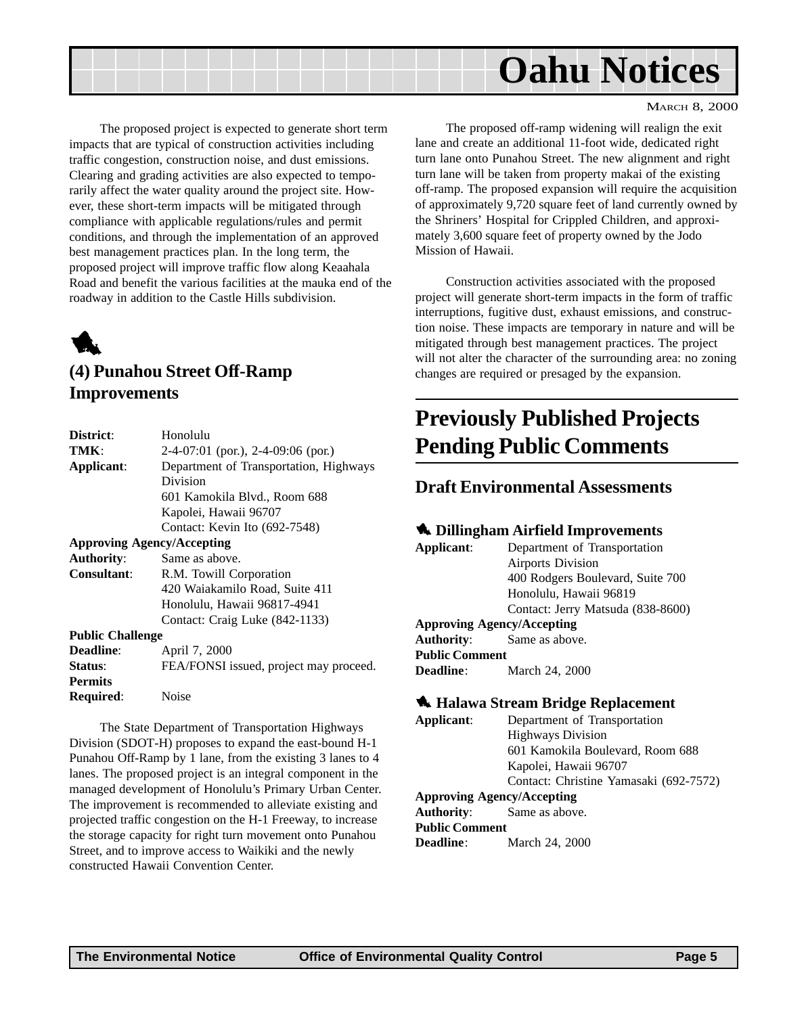<span id="page-4-0"></span>

The proposed project is expected to generate short term impacts that are typical of construction activities including traffic congestion, construction noise, and dust emissions. Clearing and grading activities are also expected to temporarily affect the water quality around the project site. However, these short-term impacts will be mitigated through compliance with applicable regulations/rules and permit conditions, and through the implementation of an approved best management practices plan. In the long term, the proposed project will improve traffic flow along Keaahala Road and benefit the various facilities at the mauka end of the roadway in addition to the Castle Hills subdivision.



## **(4) Punahou Street Off-Ramp Improvements**

| District:                         | Honolulu                               |
|-----------------------------------|----------------------------------------|
| TMK:                              | $2-4-07:01$ (por.), $2-4-09:06$ (por.) |
| Applicant:                        | Department of Transportation, Highways |
|                                   | Division                               |
|                                   | 601 Kamokila Blvd., Room 688           |
|                                   | Kapolei, Hawaii 96707                  |
|                                   | Contact: Kevin Ito (692-7548)          |
| <b>Approving Agency/Accepting</b> |                                        |
| <b>Authority:</b>                 | Same as above.                         |
| Consultant:                       | R.M. Towill Corporation                |
|                                   | 420 Waiakamilo Road, Suite 411         |
|                                   | Honolulu, Hawaii 96817-4941            |
|                                   | Contact: Craig Luke (842-1133)         |
| <b>Public Challenge</b>           |                                        |
| Deadline:                         | April 7, 2000                          |
| Status:                           | FEA/FONSI issued, project may proceed. |
| <b>Permits</b>                    |                                        |
| Required:                         | <b>Noise</b>                           |
|                                   |                                        |

The State Department of Transportation Highways Division (SDOT-H) proposes to expand the east-bound H-1 Punahou Off-Ramp by 1 lane, from the existing 3 lanes to 4 lanes. The proposed project is an integral component in the managed development of Honolulu's Primary Urban Center. The improvement is recommended to alleviate existing and projected traffic congestion on the H-1 Freeway, to increase the storage capacity for right turn movement onto Punahou Street, and to improve access to Waikiki and the newly constructed Hawaii Convention Center.

The proposed off-ramp widening will realign the exit lane and create an additional 11-foot wide, dedicated right turn lane onto Punahou Street. The new alignment and right turn lane will be taken from property makai of the existing off-ramp. The proposed expansion will require the acquisition of approximately 9,720 square feet of land currently owned by the Shriners' Hospital for Crippled Children, and approximately 3,600 square feet of property owned by the Jodo Mission of Hawaii.

Construction activities associated with the proposed project will generate short-term impacts in the form of traffic interruptions, fugitive dust, exhaust emissions, and construction noise. These impacts are temporary in nature and will be mitigated through best management practices. The project will not alter the character of the surrounding area: no zoning changes are required or presaged by the expansion.

## **Previously Published Projects Pending Public Comments**

### **Draft Environmental Assessments**

#### 1 **Dillingham Airfield Improvements**

**Applicant**: Department of Transportation Airports Division 400 Rodgers Boulevard, Suite 700 Honolulu, Hawaii 96819 Contact: Jerry Matsuda (838-8600) **Approving Agency/Accepting Authority**: Same as above. **Public Comment Deadline**: March 24, 2000

#### 1 **Halawa Stream Bridge Replacement**

**Applicant**: Department of Transportation Highways Division 601 Kamokila Boulevard, Room 688 Kapolei, Hawaii 96707 Contact: Christine Yamasaki (692-7572) **Approving Agency/Accepting Authority**: Same as above. **Public Comment Deadline**: March 24, 2000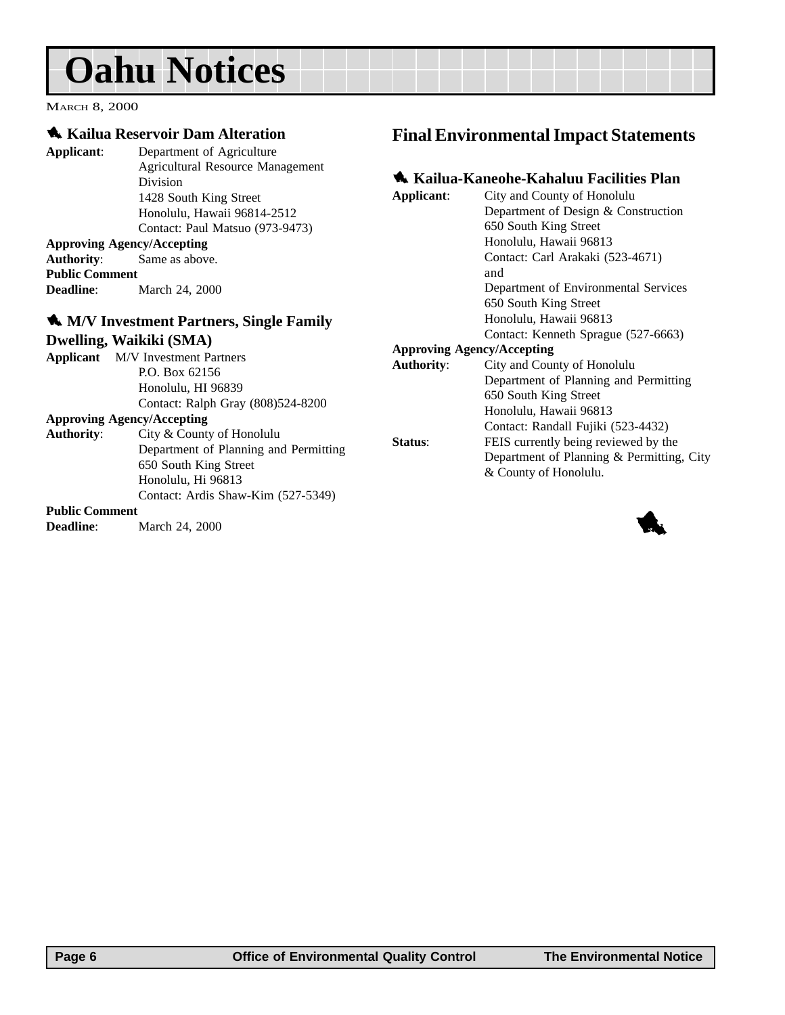## <span id="page-5-0"></span>**Oahu Notices**

MARCH 8, 2000

### 1 **Kailua Reservoir Dam Alteration**

**Applicant**: Department of Agriculture Agricultural Resource Management Division 1428 South King Street Honolulu, Hawaii 96814-2512 Contact: Paul Matsuo (973-9473)

#### **Approving Agency/Accepting**

**Authority**: Same as above. **Public Comment** March 24, 2000

### 1 **M/V Investment Partners, Single Family Dwelling, Waikiki (SMA)**

|                                   | <b>Applicant</b> M/V Investment Partners |
|-----------------------------------|------------------------------------------|
|                                   | P.O. Box 62156                           |
|                                   | Honolulu, HI 96839                       |
|                                   | Contact: Ralph Gray (808)524-8200        |
| <b>Approving Agency/Accepting</b> |                                          |
|                                   | $\lambda = 1$ , $\lambda = 1$            |

| <b>Authority:</b> | City & County of Honolulu             |
|-------------------|---------------------------------------|
|                   | Department of Planning and Permitting |
|                   | 650 South King Street                 |
|                   | Honolulu, Hi 96813                    |
|                   | Contact: Ardis Shaw-Kim (527-5349)    |
|                   |                                       |

#### **Public Comment**

**Deadline:** March 24, 2000

### **Final Environmental Impact Statements**

### 1 **Kailua-Kaneohe-Kahaluu Facilities Plan**

| Applicant:        | City and County of Honolulu               |
|-------------------|-------------------------------------------|
|                   | Department of Design & Construction       |
|                   | 650 South King Street                     |
|                   | Honolulu, Hawaii 96813                    |
|                   | Contact: Carl Arakaki (523-4671)          |
|                   | and                                       |
|                   | Department of Environmental Services      |
|                   | 650 South King Street                     |
|                   | Honolulu, Hawaii 96813                    |
|                   | Contact: Kenneth Sprague (527-6663)       |
|                   | <b>Approving Agency/Accepting</b>         |
| <b>Authority:</b> | City and County of Honolulu               |
|                   | Department of Planning and Permitting     |
|                   | 650 South King Street                     |
|                   | Honolulu, Hawaii 96813                    |
|                   | Contact: Randall Fujiki (523-4432)        |
| Status:           | FEIS currently being reviewed by the      |
|                   | Department of Planning & Permitting, City |
|                   | & County of Honolulu.                     |

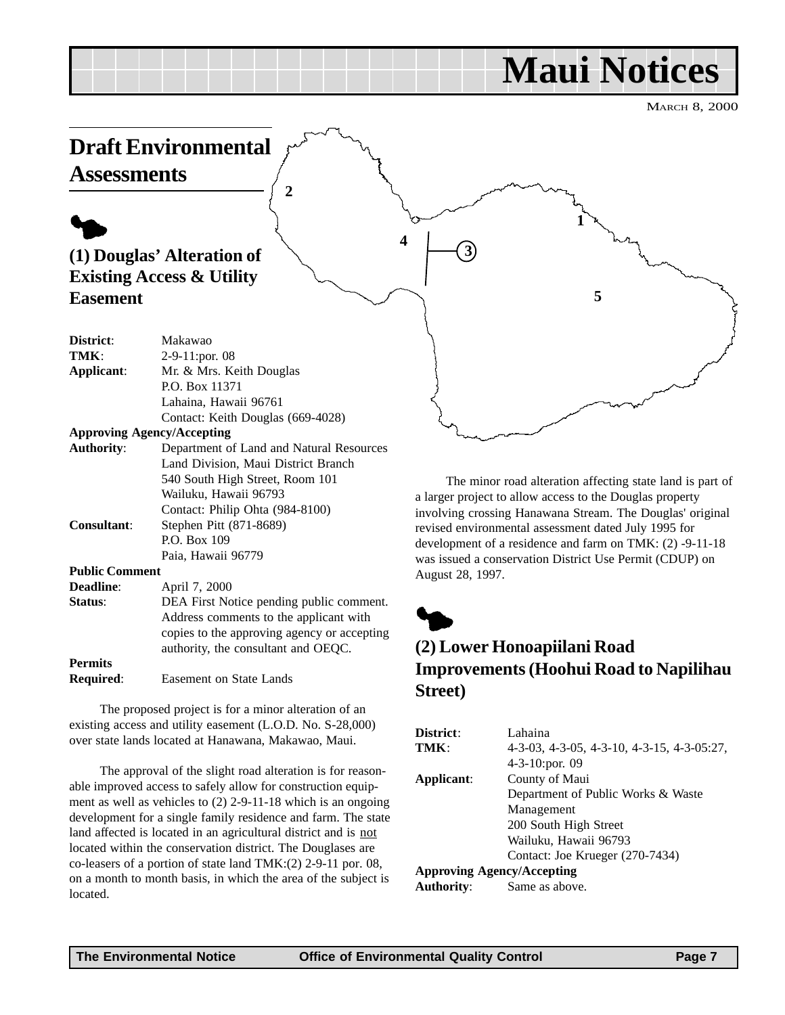## **Maui Notices**

MARCH 8, 2000

<span id="page-6-0"></span>

**Required**: Easement on State Lands

The proposed project is for a minor alteration of an existing access and utility easement (L.O.D. No. S-28,000) over state lands located at Hanawana, Makawao, Maui.

The approval of the slight road alteration is for reasonable improved access to safely allow for construction equipment as well as vehicles to (2) 2-9-11-18 which is an ongoing development for a single family residence and farm. The state land affected is located in an agricultural district and is not located within the conservation district. The Douglases are co-leasers of a portion of state land TMK:(2) 2-9-11 por. 08, on a month to month basis, in which the area of the subject is located.

**Street)**

| District:                         | Lahaina                                    |
|-----------------------------------|--------------------------------------------|
| TMK:                              | 4-3-03, 4-3-05, 4-3-10, 4-3-15, 4-3-05:27, |
|                                   | $4-3-10$ : por. 09                         |
| Applicant:                        | County of Maui                             |
|                                   | Department of Public Works & Waste         |
|                                   | Management                                 |
|                                   | 200 South High Street                      |
|                                   | Wailuku, Hawaii 96793                      |
|                                   | Contact: Joe Krueger (270-7434)            |
| <b>Approving Agency/Accepting</b> |                                            |
| <b>Authority:</b>                 | Same as above.                             |
|                                   |                                            |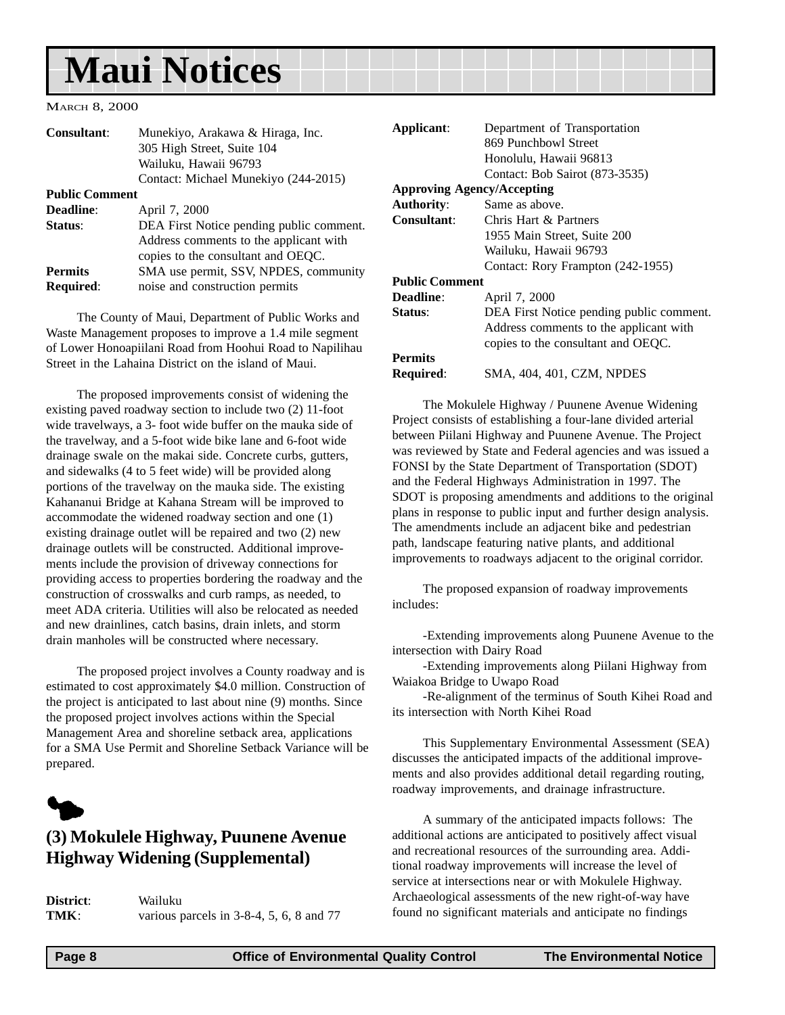## <span id="page-7-0"></span>**Maui Notices**

#### MARCH 8, 2000

| <b>Consultant:</b>                 | Munekiyo, Arakawa & Hiraga, Inc.<br>305 High Street, Suite 104                                                           |
|------------------------------------|--------------------------------------------------------------------------------------------------------------------------|
|                                    | Wailuku, Hawaii 96793                                                                                                    |
|                                    | Contact: Michael Munekiyo (244-2015)                                                                                     |
| <b>Public Comment</b>              |                                                                                                                          |
| <b>Deadline:</b>                   | April 7, 2000                                                                                                            |
| Status:                            | DEA First Notice pending public comment.<br>Address comments to the applicant with<br>copies to the consultant and OEQC. |
| <b>Permits</b><br><b>Required:</b> | SMA use permit, SSV, NPDES, community<br>noise and construction permits                                                  |

The County of Maui, Department of Public Works and Waste Management proposes to improve a 1.4 mile segment of Lower Honoapiilani Road from Hoohui Road to Napilihau Street in the Lahaina District on the island of Maui.

The proposed improvements consist of widening the existing paved roadway section to include two (2) 11-foot wide travelways, a 3- foot wide buffer on the mauka side of the travelway, and a 5-foot wide bike lane and 6-foot wide drainage swale on the makai side. Concrete curbs, gutters, and sidewalks (4 to 5 feet wide) will be provided along portions of the travelway on the mauka side. The existing Kahananui Bridge at Kahana Stream will be improved to accommodate the widened roadway section and one (1) existing drainage outlet will be repaired and two (2) new drainage outlets will be constructed. Additional improvements include the provision of driveway connections for providing access to properties bordering the roadway and the construction of crosswalks and curb ramps, as needed, to meet ADA criteria. Utilities will also be relocated as needed and new drainlines, catch basins, drain inlets, and storm drain manholes will be constructed where necessary.

The proposed project involves a County roadway and is estimated to cost approximately \$4.0 million. Construction of the project is anticipated to last about nine (9) months. Since the proposed project involves actions within the Special Management Area and shoreline setback area, applications for a SMA Use Permit and Shoreline Setback Variance will be prepared.



## **(3) Mokulele Highway, Puunene Avenue Highway Widening (Supplemental)**

| District: | Wailuku                                     |
|-----------|---------------------------------------------|
| TMK:      | various parcels in $3-8-4$ , 5, 6, 8 and 77 |

| Applicant:            | Department of Transportation             |
|-----------------------|------------------------------------------|
|                       | 869 Punchbowl Street                     |
|                       | Honolulu, Hawaii 96813                   |
|                       | Contact: Bob Sairot (873-3535)           |
|                       | <b>Approving Agency/Accepting</b>        |
|                       |                                          |
| <b>Authority:</b>     | Same as above.                           |
| Consultant:           | Chris Hart & Partners                    |
|                       | 1955 Main Street, Suite 200              |
|                       | Wailuku, Hawaii 96793                    |
|                       | Contact: Rory Frampton (242-1955)        |
| <b>Public Comment</b> |                                          |
| <b>Deadline:</b>      | April 7, 2000                            |
| <b>Status:</b>        | DEA First Notice pending public comment. |
|                       | Address comments to the applicant with   |
|                       | copies to the consultant and OEOC.       |
| <b>Permits</b>        |                                          |
| <b>Required:</b>      | SMA, 404, 401, CZM, NPDES                |

The Mokulele Highway / Puunene Avenue Widening Project consists of establishing a four-lane divided arterial between Piilani Highway and Puunene Avenue. The Project was reviewed by State and Federal agencies and was issued a FONSI by the State Department of Transportation (SDOT) and the Federal Highways Administration in 1997. The SDOT is proposing amendments and additions to the original plans in response to public input and further design analysis. The amendments include an adjacent bike and pedestrian path, landscape featuring native plants, and additional improvements to roadways adjacent to the original corridor.

The proposed expansion of roadway improvements includes:

-Extending improvements along Puunene Avenue to the intersection with Dairy Road

-Extending improvements along Piilani Highway from Waiakoa Bridge to Uwapo Road

-Re-alignment of the terminus of South Kihei Road and its intersection with North Kihei Road

This Supplementary Environmental Assessment (SEA) discusses the anticipated impacts of the additional improvements and also provides additional detail regarding routing, roadway improvements, and drainage infrastructure.

A summary of the anticipated impacts follows: The additional actions are anticipated to positively affect visual and recreational resources of the surrounding area. Additional roadway improvements will increase the level of service at intersections near or with Mokulele Highway. Archaeological assessments of the new right-of-way have found no significant materials and anticipate no findings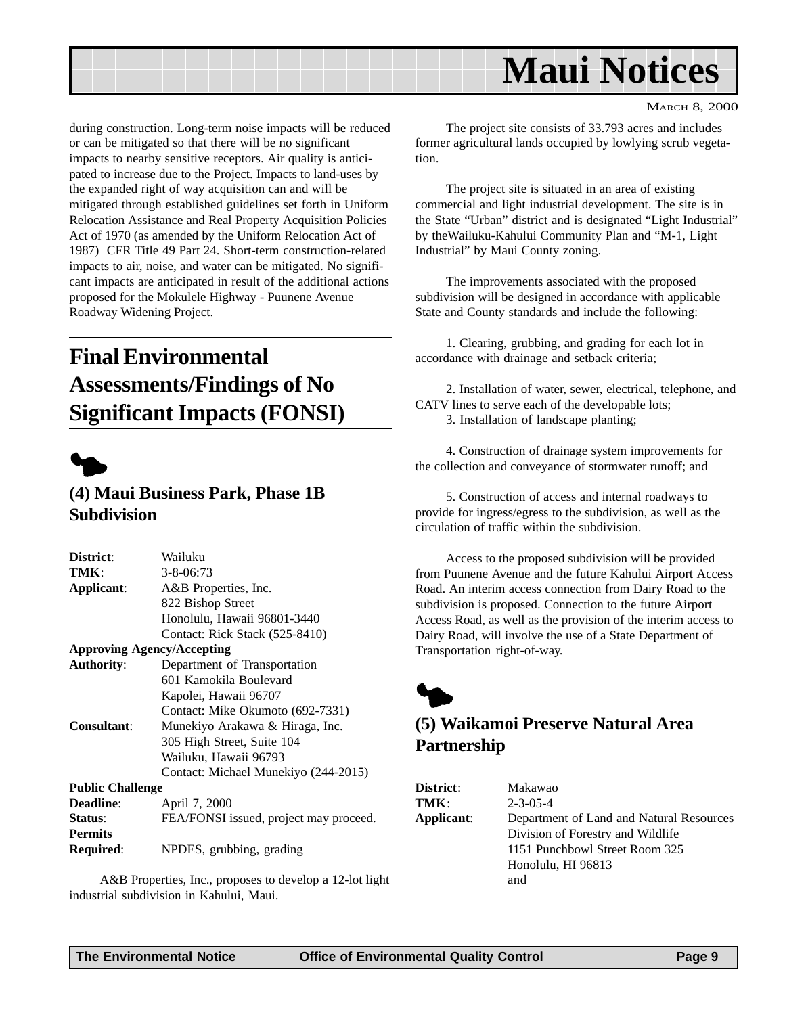<span id="page-8-0"></span>

during construction. Long-term noise impacts will be reduced or can be mitigated so that there will be no significant impacts to nearby sensitive receptors. Air quality is anticipated to increase due to the Project. Impacts to land-uses by the expanded right of way acquisition can and will be mitigated through established guidelines set forth in Uniform Relocation Assistance and Real Property Acquisition Policies Act of 1970 (as amended by the Uniform Relocation Act of 1987) CFR Title 49 Part 24. Short-term construction-related impacts to air, noise, and water can be mitigated. No significant impacts are anticipated in result of the additional actions proposed for the Mokulele Highway - Puunene Avenue Roadway Widening Project.

## **Final Environmental Assessments/Findings of No Significant Impacts (FONSI)**



## **(4) Maui Business Park, Phase 1B Subdivision**

| District:                         | Wailuku                                |
|-----------------------------------|----------------------------------------|
| TMK:                              | $3 - 8 - 06:73$                        |
| Applicant:                        | A&B Properties, Inc.                   |
|                                   | 822 Bishop Street                      |
|                                   | Honolulu, Hawaii 96801-3440            |
|                                   | Contact: Rick Stack (525-8410)         |
| <b>Approving Agency/Accepting</b> |                                        |
| <b>Authority:</b>                 | Department of Transportation           |
|                                   | 601 Kamokila Boulevard                 |
|                                   | Kapolei, Hawaii 96707                  |
|                                   | Contact: Mike Okumoto (692-7331)       |
| Consultant:                       | Munekiyo Arakawa & Hiraga, Inc.        |
|                                   | 305 High Street, Suite 104             |
|                                   | Wailuku, Hawaii 96793                  |
|                                   | Contact: Michael Munekiyo (244-2015)   |
| <b>Public Challenge</b>           |                                        |
| Deadline:                         | April 7, 2000                          |
| Status:                           | FEA/FONSI issued, project may proceed. |
| <b>Permits</b>                    |                                        |
| Required:                         | NPDES, grubbing, grading               |
|                                   |                                        |

A&B Properties, Inc., proposes to develop a 12-lot light industrial subdivision in Kahului, Maui.

MARCH 8, 2000

The project site consists of 33.793 acres and includes former agricultural lands occupied by lowlying scrub vegetation.

The project site is situated in an area of existing commercial and light industrial development. The site is in the State "Urban" district and is designated "Light Industrial" by theWailuku-Kahului Community Plan and "M-1, Light Industrial" by Maui County zoning.

The improvements associated with the proposed subdivision will be designed in accordance with applicable State and County standards and include the following:

1. Clearing, grubbing, and grading for each lot in accordance with drainage and setback criteria;

2. Installation of water, sewer, electrical, telephone, and CATV lines to serve each of the developable lots;

3. Installation of landscape planting;

4. Construction of drainage system improvements for the collection and conveyance of stormwater runoff; and

5. Construction of access and internal roadways to provide for ingress/egress to the subdivision, as well as the circulation of traffic within the subdivision.

Access to the proposed subdivision will be provided from Puunene Avenue and the future Kahului Airport Access Road. An interim access connection from Dairy Road to the subdivision is proposed. Connection to the future Airport Access Road, as well as the provision of the interim access to Dairy Road, will involve the use of a State Department of Transportation right-of-way.



## **(5) Waikamoi Preserve Natural Area Partnership**

| <b>District:</b> | Makawao                                  |
|------------------|------------------------------------------|
| TMK:             | $2 - 3 - 05 - 4$                         |
| Applicant:       | Department of Land and Natural Resources |
|                  | Division of Forestry and Wildlife        |
|                  | 1151 Punchbowl Street Room 325           |
|                  | Honolulu, HI 96813                       |
|                  | and                                      |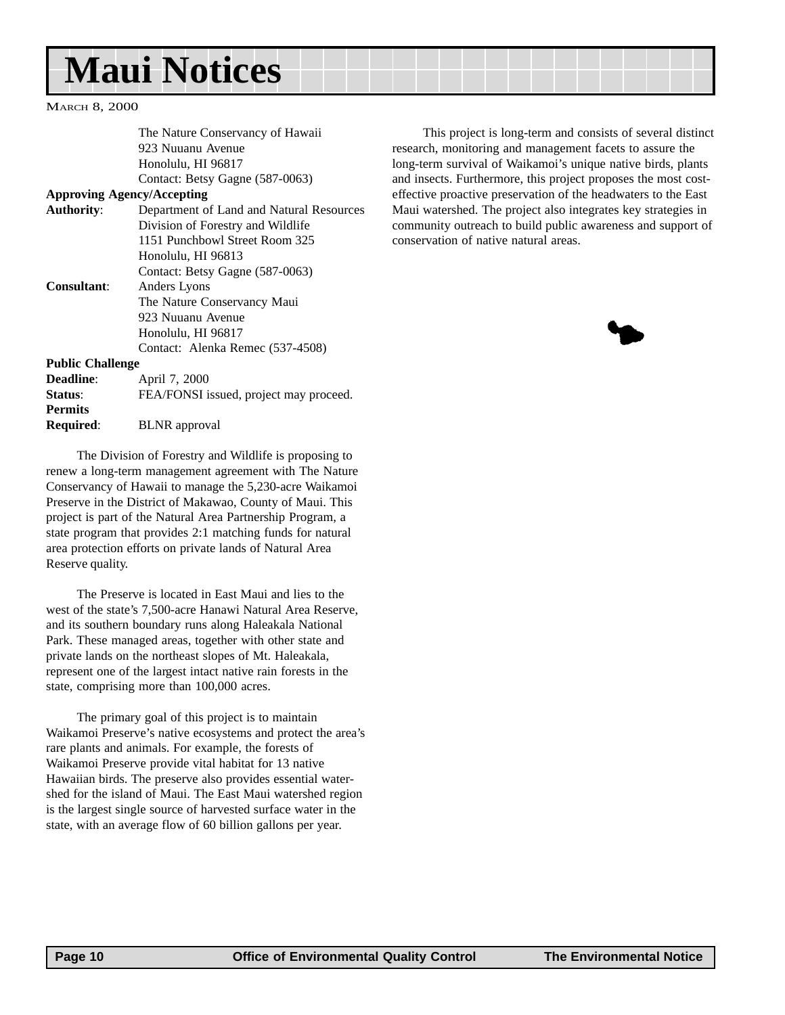## **Maui Notices**

MARCH 8, 2000

| The Nature Conservancy of Hawaii         |  |
|------------------------------------------|--|
| 923 Nuuanu Avenue                        |  |
| Honolulu, HI 96817                       |  |
| Contact: Betsy Gagne (587-0063)          |  |
| <b>Approving Agency/Accepting</b>        |  |
| Department of Land and Natural Resources |  |
| Division of Forestry and Wildlife        |  |
| 1151 Punchbowl Street Room 325           |  |
| Honolulu, HI 96813                       |  |
| Contact: Betsy Gagne (587-0063)          |  |
| Anders Lyons                             |  |
| The Nature Conservancy Maui              |  |
| 923 Nuuanu Avenue                        |  |
| Honolulu, HI 96817                       |  |
| Contact: Alenka Remec (537-4508)         |  |
| <b>Public Challenge</b>                  |  |
| April 7, 2000                            |  |
| FEA/FONSI issued, project may proceed.   |  |
|                                          |  |
| <b>BLNR</b> approval                     |  |
|                                          |  |

The Division of Forestry and Wildlife is proposing to renew a long-term management agreement with The Nature Conservancy of Hawaii to manage the 5,230-acre Waikamoi Preserve in the District of Makawao, County of Maui. This project is part of the Natural Area Partnership Program, a state program that provides 2:1 matching funds for natural area protection efforts on private lands of Natural Area Reserve quality.

The Preserve is located in East Maui and lies to the west of the state's 7,500-acre Hanawi Natural Area Reserve, and its southern boundary runs along Haleakala National Park. These managed areas, together with other state and private lands on the northeast slopes of Mt. Haleakala, represent one of the largest intact native rain forests in the state, comprising more than 100,000 acres.

The primary goal of this project is to maintain Waikamoi Preserve's native ecosystems and protect the area's rare plants and animals. For example, the forests of Waikamoi Preserve provide vital habitat for 13 native Hawaiian birds. The preserve also provides essential watershed for the island of Maui. The East Maui watershed region is the largest single source of harvested surface water in the state, with an average flow of 60 billion gallons per year.

This project is long-term and consists of several distinct research, monitoring and management facets to assure the long-term survival of Waikamoi's unique native birds, plants and insects. Furthermore, this project proposes the most costeffective proactive preservation of the headwaters to the East Maui watershed. The project also integrates key strategies in community outreach to build public awareness and support of conservation of native natural areas.

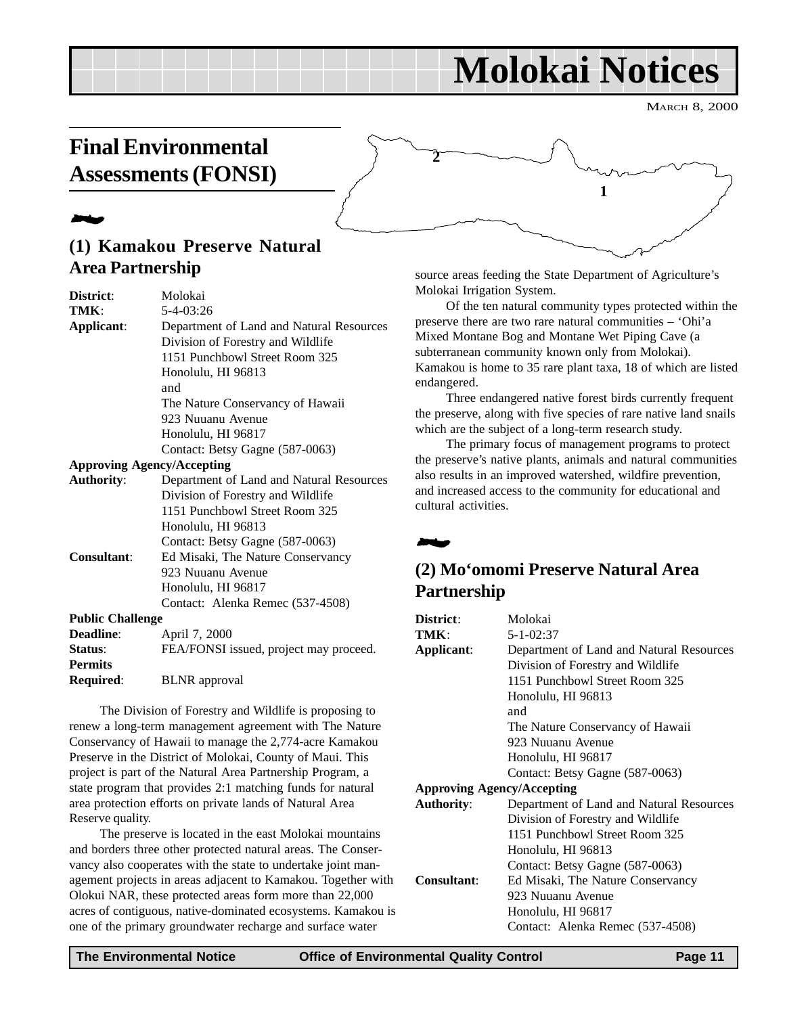## **Molokai Notices**

**1**

MARCH 8, 2000

## <span id="page-10-0"></span>**Final Environmental Assessments (FONSI)**

## 2

## **(1) Kamakou Preserve Natural Area Partnership**

| District:               | Molokai                                  |
|-------------------------|------------------------------------------|
| TMK:                    | 5-4-03:26                                |
| Applicant:              | Department of Land and Natural Resources |
|                         | Division of Forestry and Wildlife        |
|                         | 1151 Punchbowl Street Room 325           |
|                         | Honolulu, HI 96813                       |
|                         | and                                      |
|                         | The Nature Conservancy of Hawaii         |
|                         | 923 Nuuanu Avenue                        |
|                         | Honolulu, HI 96817                       |
|                         | Contact: Betsy Gagne (587-0063)          |
|                         | <b>Approving Agency/Accepting</b>        |
| <b>Authority:</b>       | Department of Land and Natural Resources |
|                         | Division of Forestry and Wildlife        |
|                         | 1151 Punchbowl Street Room 325           |
|                         | Honolulu, HI 96813                       |
|                         | Contact: Betsy Gagne (587-0063)          |
| Consultant:             | Ed Misaki, The Nature Conservancy        |
|                         | 923 Nuuanu Avenue                        |
|                         | Honolulu, HI 96817                       |
|                         | Contact: Alenka Remec (537-4508)         |
| <b>Public Challenge</b> |                                          |
| Deadline:               | April 7, 2000                            |
| Status:                 | FEA/FONSI issued, project may proceed.   |
| <b>Permits</b>          |                                          |
| Required:               | <b>BLNR</b> approval                     |

The Division of Forestry and Wildlife is proposing to renew a long-term management agreement with The Nature Conservancy of Hawaii to manage the 2,774-acre Kamakou Preserve in the District of Molokai, County of Maui. This project is part of the Natural Area Partnership Program, a state program that provides 2:1 matching funds for natural area protection efforts on private lands of Natural Area Reserve quality.

The preserve is located in the east Molokai mountains and borders three other protected natural areas. The Conservancy also cooperates with the state to undertake joint management projects in areas adjacent to Kamakou. Together with Olokui NAR, these protected areas form more than 22,000 acres of contiguous, native-dominated ecosystems. Kamakou is one of the primary groundwater recharge and surface water

source areas feeding the State Department of Agriculture's Molokai Irrigation System.

Of the ten natural community types protected within the preserve there are two rare natural communities – 'Ohi'a Mixed Montane Bog and Montane Wet Piping Cave (a subterranean community known only from Molokai). Kamakou is home to 35 rare plant taxa, 18 of which are listed endangered.

Three endangered native forest birds currently frequent the preserve, along with five species of rare native land snails which are the subject of a long-term research study.

The primary focus of management programs to protect the preserve's native plants, animals and natural communities also results in an improved watershed, wildfire prevention, and increased access to the community for educational and cultural activities.



**2**

## **(2) Mo'omomi Preserve Natural Area Partnership**

| District:                         | Molokai                                  |
|-----------------------------------|------------------------------------------|
| TMK:                              | $5 - 1 - 02:37$                          |
| Applicant:                        | Department of Land and Natural Resources |
|                                   | Division of Forestry and Wildlife        |
|                                   | 1151 Punchbowl Street Room 325           |
|                                   | Honolulu, HI 96813                       |
|                                   | and                                      |
|                                   | The Nature Conservancy of Hawaii         |
|                                   | 923 Nuuanu Avenue                        |
|                                   | Honolulu, HI 96817                       |
|                                   | Contact: Betsy Gagne (587-0063)          |
| <b>Approving Agency/Accepting</b> |                                          |
| <b>Authority:</b>                 | Department of Land and Natural Resources |
|                                   | Division of Forestry and Wildlife        |
|                                   | 1151 Punchbowl Street Room 325           |
|                                   | Honolulu, HI 96813                       |
|                                   | Contact: Betsy Gagne (587-0063)          |
| Consultant:                       | Ed Misaki, The Nature Conservancy        |
|                                   | 923 Nuuanu Avenue                        |
|                                   | Honolulu, HI 96817                       |
|                                   | Contact: Alenka Remec (537-4508)         |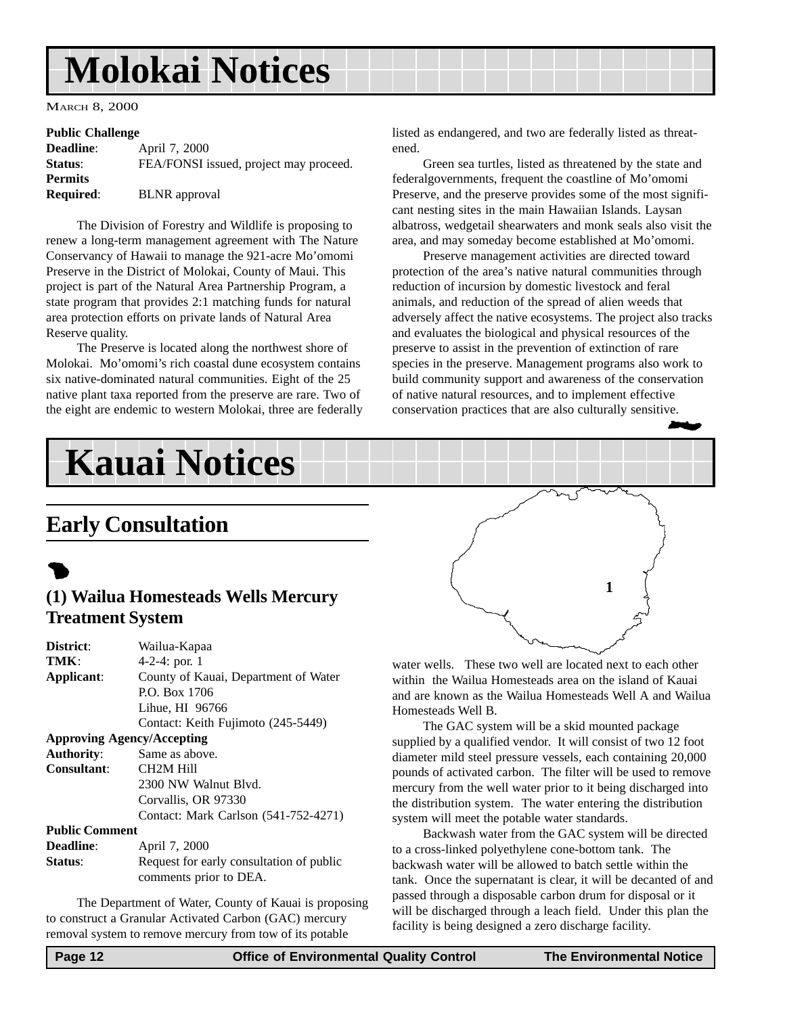## **Molokai Notices**

MARCH 8, 2000

#### **Public Challenge**

| April 7, 2000                          |
|----------------------------------------|
| FEA/FONSI issued, project may proceed. |
|                                        |
| <b>BLNR</b> approval                   |
|                                        |

The Division of Forestry and Wildlife is proposing to renew a long-term management agreement with The Nature Conservancy of Hawaii to manage the 921-acre Mo'omomi Preserve in the District of Molokai, County of Maui. This project is part of the Natural Area Partnership Program, a state program that provides 2:1 matching funds for natural area protection efforts on private lands of Natural Area Reserve quality.

The Preserve is located along the northwest shore of Molokai. Mo'omomi's rich coastal dune ecosystem contains six native-dominated natural communities. Eight of the 25 native plant taxa reported from the preserve are rare. Two of the eight are endemic to western Molokai, three are federally listed as endangered, and two are federally listed as threatened.

Green sea turtles, listed as threatened by the state and federalgovernments, frequent the coastline of Mo'omomi Preserve, and the preserve provides some of the most significant nesting sites in the main Hawaiian Islands. Laysan albatross, wedgetail shearwaters and monk seals also visit the area, and may someday become established at Mo'omomi.

Preserve management activities are directed toward protection of the area's native natural communities through reduction of incursion by domestic livestock and feral animals, and reduction of the spread of alien weeds that adversely affect the native ecosystems. The project also tracks and evaluates the biological and physical resources of the preserve to assist in the prevention of extinction of rare species in the preserve. Management programs also work to build community support and awareness of the conservation of native natural resources, and to implement effective conservation practices that are also culturally sensitive. 2

## **Kauai Notices**

## **Early Consultation**

## $\bullet$

## **(1) Wailua Homesteads Wells Mercury Treatment System**

| <b>District:</b>                  | Wailua-Kapaa                             |
|-----------------------------------|------------------------------------------|
| TMK:                              | 4-2-4: por. 1                            |
| Applicant:                        | County of Kauai, Department of Water     |
|                                   | P.O. Box 1706                            |
|                                   | Lihue, HI 96766                          |
|                                   | Contact: Keith Fujimoto (245-5449)       |
| <b>Approving Agency/Accepting</b> |                                          |
| <b>Authority:</b>                 | Same as above.                           |
| Consultant:                       | CH <sub>2</sub> M Hill                   |
|                                   | 2300 NW Walnut Blyd.                     |
|                                   | Corvallis, OR 97330                      |
|                                   | Contact: Mark Carlson (541-752-4271)     |
| <b>Public Comment</b>             |                                          |
| Deadline:                         | April 7, 2000                            |
| <b>Status:</b>                    | Request for early consultation of public |
|                                   | comments prior to DEA.                   |
|                                   |                                          |

The Department of Water, County of Kauai is proposing to construct a Granular Activated Carbon (GAC) mercury removal system to remove mercury from tow of its potable



water wells. These two well are located next to each other within the Wailua Homesteads area on the island of Kauai and are known as the Wailua Homesteads Well A and Wailua Homesteads Well B.

The GAC system will be a skid mounted package supplied by a qualified vendor. It will consist of two 12 foot diameter mild steel pressure vessels, each containing 20,000 pounds of activated carbon. The filter will be used to remove mercury from the well water prior to it being discharged into the distribution system. The water entering the distribution system will meet the potable water standards.

Backwash water from the GAC system will be directed to a cross-linked polyethylene cone-bottom tank. The backwash water will be allowed to batch settle within the tank. Once the supernatant is clear, it will be decanted of and passed through a disposable carbon drum for disposal or it will be discharged through a leach field. Under this plan the facility is being designed a zero discharge facility.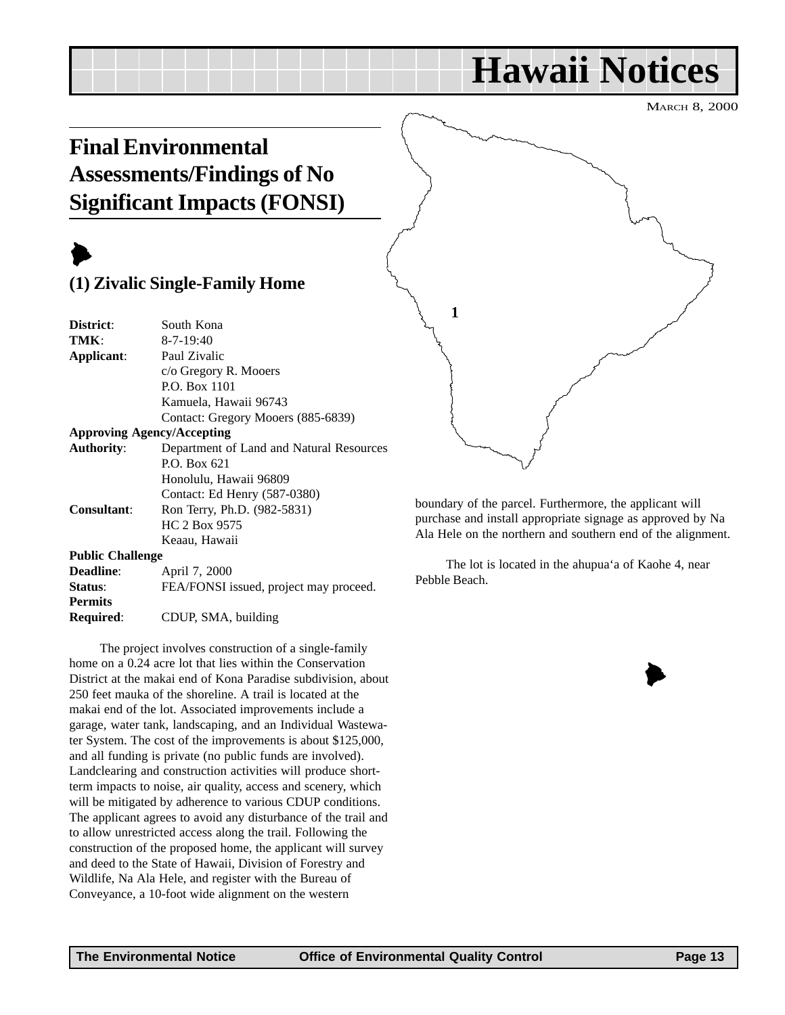## **Hawaii Notices**

MARCH 8, 2000

## <span id="page-12-0"></span>**Final Environmental Assessments/Findings of No Significant Impacts (FONSI)**

## $\blacktriangleright$

## **(1) Zivalic Single-Family Home**

| South Kona                               |
|------------------------------------------|
| $8 - 7 - 19:40$                          |
| Paul Zivalic                             |
| c/o Gregory R. Mooers                    |
| P.O. Box 1101                            |
| Kamuela, Hawaii 96743                    |
| Contact: Gregory Mooers (885-6839)       |
| <b>Approving Agency/Accepting</b>        |
| Department of Land and Natural Resources |
| P.O. Box 621                             |
| Honolulu, Hawaii 96809                   |
| Contact: Ed Henry (587-0380)             |
| Ron Terry, Ph.D. (982-5831)              |
| HC 2 Box 9575                            |
| Keaau, Hawaii                            |
| <b>Public Challenge</b>                  |
| April 7, 2000                            |
| FEA/FONSI issued, project may proceed.   |
|                                          |
| CDUP, SMA, building                      |
|                                          |

The project involves construction of a single-family home on a 0.24 acre lot that lies within the Conservation District at the makai end of Kona Paradise subdivision, about 250 feet mauka of the shoreline. A trail is located at the makai end of the lot. Associated improvements include a garage, water tank, landscaping, and an Individual Wastewater System. The cost of the improvements is about \$125,000, and all funding is private (no public funds are involved). Landclearing and construction activities will produce shortterm impacts to noise, air quality, access and scenery, which will be mitigated by adherence to various CDUP conditions. The applicant agrees to avoid any disturbance of the trail and to allow unrestricted access along the trail. Following the construction of the proposed home, the applicant will survey and deed to the State of Hawaii, Division of Forestry and Wildlife, Na Ala Hele, and register with the Bureau of Conveyance, a 10-foot wide alignment on the western



boundary of the parcel. Furthermore, the applicant will purchase and install appropriate signage as approved by Na Ala Hele on the northern and southern end of the alignment.

The lot is located in the ahupua'a of Kaohe 4, near Pebble Beach.

 $\blacktriangleright$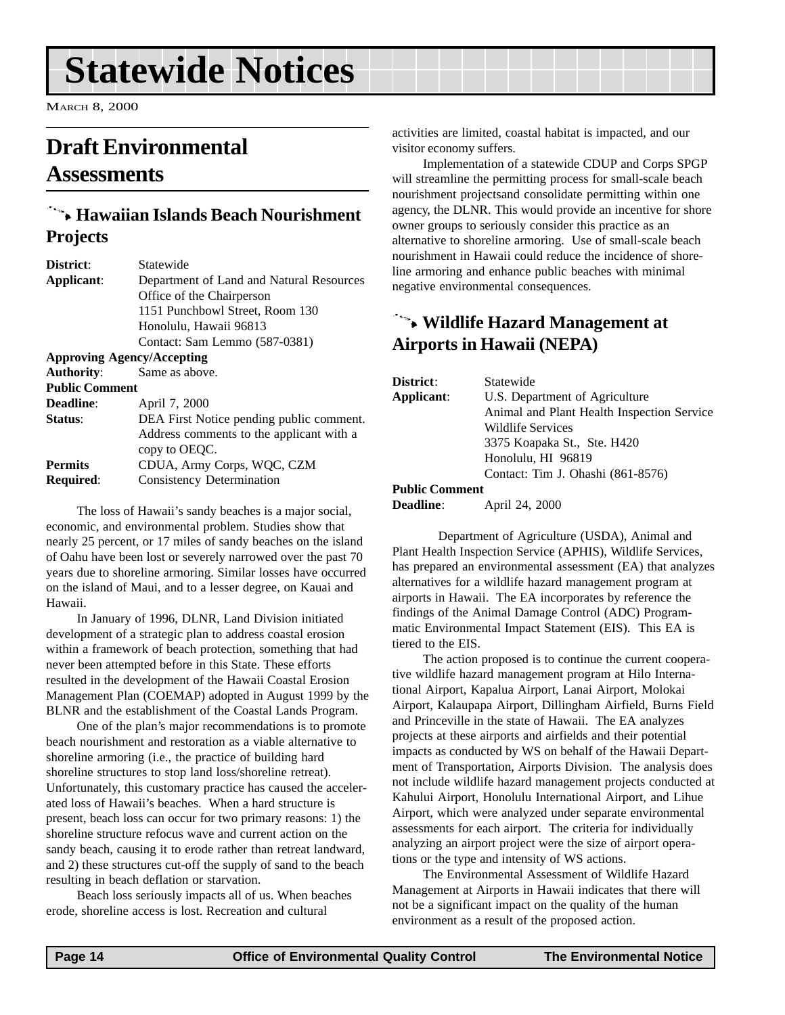## <span id="page-13-0"></span>**Statewide Notices**

MARCH 8, 2000

## **Draft Environmental Assessments**

## 9 **Hawaiian Islands Beach Nourishment Projects**

| District:                         | Statewide                                |
|-----------------------------------|------------------------------------------|
| Applicant:                        | Department of Land and Natural Resources |
|                                   | Office of the Chairperson                |
|                                   | 1151 Punchbowl Street, Room 130          |
|                                   | Honolulu, Hawaii 96813                   |
|                                   | Contact: Sam Lemmo (587-0381)            |
| <b>Approving Agency/Accepting</b> |                                          |
| <b>Authority:</b>                 | Same as above.                           |
| <b>Public Comment</b>             |                                          |
| <b>Deadline:</b>                  | April 7, 2000                            |
| Status:                           | DEA First Notice pending public comment. |
|                                   | Address comments to the applicant with a |
|                                   | copy to OEOC.                            |
| <b>Permits</b>                    | CDUA, Army Corps, WQC, CZM               |
| Required:                         | Consistency Determination                |
|                                   |                                          |

The loss of Hawaii's sandy beaches is a major social, economic, and environmental problem. Studies show that nearly 25 percent, or 17 miles of sandy beaches on the island of Oahu have been lost or severely narrowed over the past 70 years due to shoreline armoring. Similar losses have occurred on the island of Maui, and to a lesser degree, on Kauai and Hawaii.

In January of 1996, DLNR, Land Division initiated development of a strategic plan to address coastal erosion within a framework of beach protection, something that had never been attempted before in this State. These efforts resulted in the development of the Hawaii Coastal Erosion Management Plan (COEMAP) adopted in August 1999 by the BLNR and the establishment of the Coastal Lands Program.

One of the plan's major recommendations is to promote beach nourishment and restoration as a viable alternative to shoreline armoring (i.e., the practice of building hard shoreline structures to stop land loss/shoreline retreat). Unfortunately, this customary practice has caused the accelerated loss of Hawaii's beaches. When a hard structure is present, beach loss can occur for two primary reasons: 1) the shoreline structure refocus wave and current action on the sandy beach, causing it to erode rather than retreat landward, and 2) these structures cut-off the supply of sand to the beach resulting in beach deflation or starvation.

Beach loss seriously impacts all of us. When beaches erode, shoreline access is lost. Recreation and cultural

activities are limited, coastal habitat is impacted, and our visitor economy suffers.

Implementation of a statewide CDUP and Corps SPGP will streamline the permitting process for small-scale beach nourishment projectsand consolidate permitting within one agency, the DLNR. This would provide an incentive for shore owner groups to seriously consider this practice as an alternative to shoreline armoring. Use of small-scale beach nourishment in Hawaii could reduce the incidence of shoreline armoring and enhance public beaches with minimal negative environmental consequences.

## 9 **Wildlife Hazard Management at Airports in Hawaii (NEPA)**

| District:             | Statewide                                  |
|-----------------------|--------------------------------------------|
| Applicant:            | U.S. Department of Agriculture             |
|                       | Animal and Plant Health Inspection Service |
|                       | Wildlife Services                          |
|                       | 3375 Koapaka St., Ste. H420                |
|                       | Honolulu, HI 96819                         |
|                       | Contact: Tim J. Ohashi (861-8576)          |
| <b>Public Comment</b> |                                            |

**Deadline**: April 24, 2000

Department of Agriculture (USDA), Animal and Plant Health Inspection Service (APHIS), Wildlife Services, has prepared an environmental assessment (EA) that analyzes alternatives for a wildlife hazard management program at airports in Hawaii. The EA incorporates by reference the findings of the Animal Damage Control (ADC) Programmatic Environmental Impact Statement (EIS). This EA is tiered to the EIS.

The action proposed is to continue the current cooperative wildlife hazard management program at Hilo International Airport, Kapalua Airport, Lanai Airport, Molokai Airport, Kalaupapa Airport, Dillingham Airfield, Burns Field and Princeville in the state of Hawaii. The EA analyzes projects at these airports and airfields and their potential impacts as conducted by WS on behalf of the Hawaii Department of Transportation, Airports Division. The analysis does not include wildlife hazard management projects conducted at Kahului Airport, Honolulu International Airport, and Lihue Airport, which were analyzed under separate environmental assessments for each airport. The criteria for individually analyzing an airport project were the size of airport operations or the type and intensity of WS actions.

The Environmental Assessment of Wildlife Hazard Management at Airports in Hawaii indicates that there will not be a significant impact on the quality of the human environment as a result of the proposed action.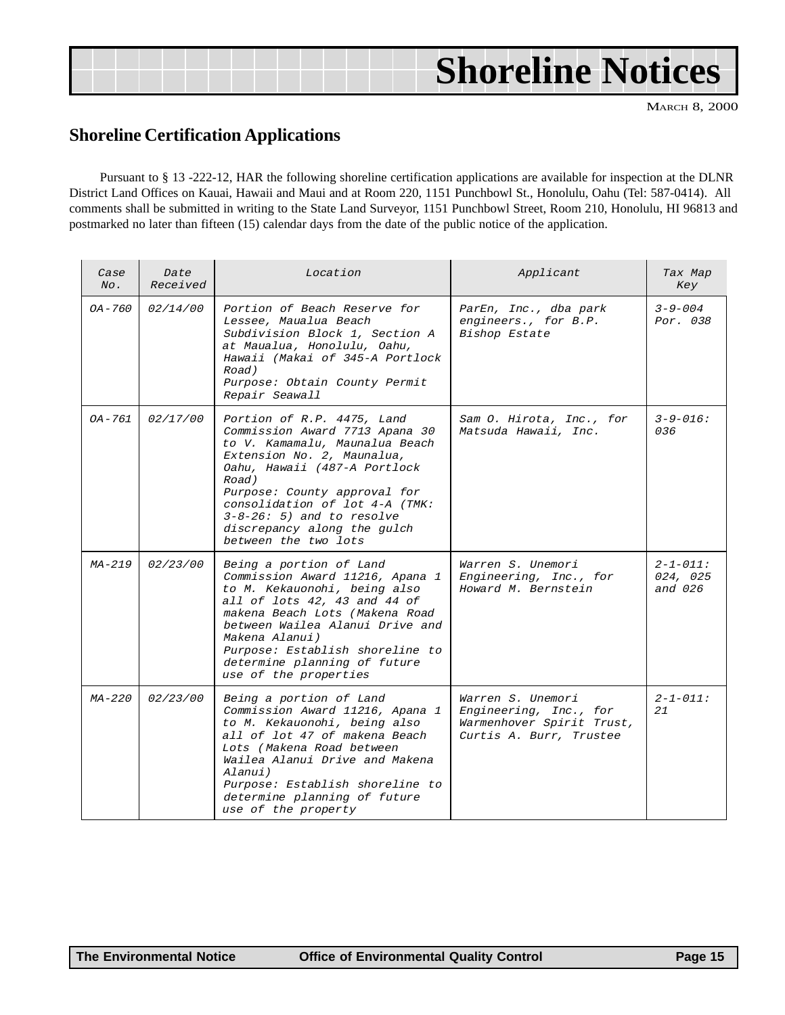## **Shoreline Notices**

MARCH 8, 2000

### **Shoreline Certification Applications**

Pursuant to § 13 -222-12, HAR the following shoreline certification applications are available for inspection at the DLNR District Land Offices on Kauai, Hawaii and Maui and at Room 220, 1151 Punchbowl St., Honolulu, Oahu (Tel: 587-0414). All comments shall be submitted in writing to the State Land Surveyor, 1151 Punchbowl Street, Room 210, Honolulu, HI 96813 and postmarked no later than fifteen (15) calendar days from the date of the public notice of the application.

| Case<br>$N_O$ . | Date<br>Received | Location                                                                                                                                                                                                                                                                                                                     | Applicant                                                                                           | Tax Map<br>Key                        |
|-----------------|------------------|------------------------------------------------------------------------------------------------------------------------------------------------------------------------------------------------------------------------------------------------------------------------------------------------------------------------------|-----------------------------------------------------------------------------------------------------|---------------------------------------|
| $OA - 760$      | 02/14/00         | Portion of Beach Reserve for<br>Lessee, Maualua Beach<br>Subdivision Block 1, Section A<br>at Maualua, Honolulu, Oahu,<br>Hawaii (Makai of 345-A Portlock<br>Road)<br>Purpose: Obtain County Permit<br>Repair Seawall                                                                                                        | ParEn, Inc., dba park<br>engineers., for B.P.<br>Bishop Estate                                      | $3 - 9 - 004$<br>Por. 038             |
| OA-761          | 02/17/00         | Portion of R.P. 4475, Land<br>Commission Award 7713 Apana 30<br>to V. Kamamalu, Maunalua Beach<br>Extension No. 2, Maunalua,<br>Oahu, Hawaii (487-A Portlock<br>Road)<br>Purpose: County approval for<br>consolidation of lot 4-A (TMK:<br>$3-8-26: 5$ and to resolve<br>discrepancy along the gulch<br>between the two lots | Sam O. Hirota, Inc., for<br>Matsuda Hawaii, Inc.                                                    | $3 - 9 - 016$ :<br>036                |
| MA-219          | 02/23/00         | Being a portion of Land<br>Commission Award 11216, Apana 1<br>to M. Kekauonohi, being also<br>all of lots 42, 43 and 44 of<br>makena Beach Lots (Makena Road<br>between Wailea Alanui Drive and<br>Makena Alanui)<br>Purpose: Establish shoreline to<br>determine planning of future<br>use of the properties                | Warren S. Unemori<br>Engineering, Inc., for<br>Howard M. Bernstein                                  | $2 - 1 - 011:$<br>024, 025<br>and 026 |
| $MA-220$        | 02/23/00         | Being a portion of Land<br>Commission Award 11216, Apana 1<br>to M. Kekauonohi, being also<br>all of lot 47 of makena Beach<br>Lots (Makena Road between<br>Wailea Alanui Drive and Makena<br>Alanui)<br>Purpose: Establish shoreline to<br>determine planning of future<br>use of the property                              | Warren S. Unemori<br>Engineering, Inc., for<br>Warmenhover Spirit Trust,<br>Curtis A. Burr, Trustee | $2 - 1 - 011:$<br>21                  |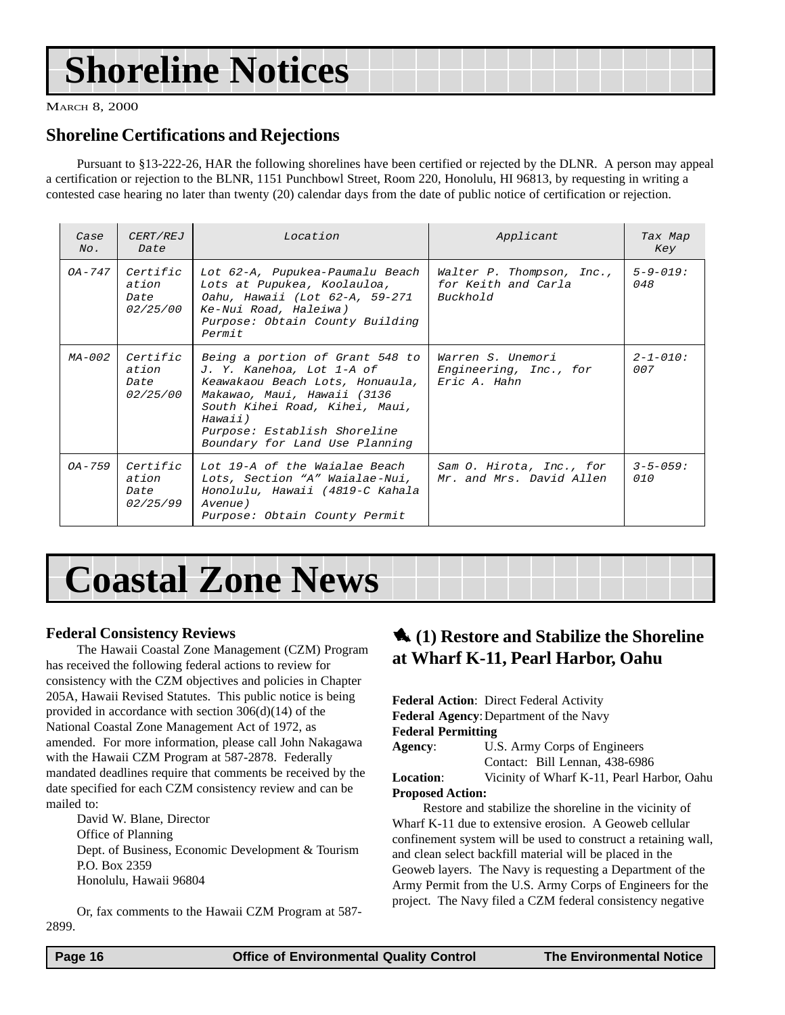## <span id="page-15-0"></span>**Shoreline Notices**

MARCH 8, 2000

### **Shoreline Certifications and Rejections**

Pursuant to §13-222-26, HAR the following shorelines have been certified or rejected by the DLNR. A person may appeal a certification or rejection to the BLNR, 1151 Punchbowl Street, Room 220, Honolulu, HI 96813, by requesting in writing a contested case hearing no later than twenty (20) calendar days from the date of public notice of certification or rejection.

| Case<br>$N_O$ . | <i>CERT/REJ</i><br>Date                      | Location                                                                                                                                                                                                                                      | Applicant                                                    | Tax Map<br>Key         |
|-----------------|----------------------------------------------|-----------------------------------------------------------------------------------------------------------------------------------------------------------------------------------------------------------------------------------------------|--------------------------------------------------------------|------------------------|
| OA – 747        | Certific<br>ation<br>Date<br><i>02/25/00</i> | Lot 62-A, Pupukea-Paumalu Beach<br>Lots at Pupukea, Koolauloa,<br>Oahu, Hawaii (Lot 62-A, 59-271<br>Ke-Nui Road, Haleiwa)<br>Purpose: Obtain County Building<br>Permit                                                                        | Walter P. Thompson, Inc.,<br>for Keith and Carla<br>Buckhold | $5 - 9 - 019$ :<br>048 |
| MA-002          | Certific<br>ation<br>Date<br><i>02/25/00</i> | Being a portion of Grant 548 to<br>J. Y. Kanehoa, Lot 1-A of<br>Keawakaou Beach Lots, Honuaula,<br>Makawao, Maui, Hawaii (3136<br>South Kihei Road, Kihei, Maui,<br>Hawaii)<br>Purpose: Establish Shoreline<br>Boundary for Land Use Planning | Warren S. Unemori<br>Engineering, Inc., for<br>Eric A. Hahn  | $2 - 1 - 010$ :<br>007 |
| $0A - 759$      | Certific<br>ation<br>Date<br>02/25/99        | Lot 19-A of the Waialae Beach<br>Lots, Section "A" Waialae-Nui,<br>Honolulu, Hawaii (4819-C Kahala<br>Avenue)<br>Purpose: Obtain County Permit                                                                                                | Sam O. Hirota, Inc., for<br>Mr. and Mrs. David Allen         | $3 - 5 - 059:$<br>010  |

## **Coastal Zone News**

### **Federal Consistency Reviews**

The Hawaii Coastal Zone Management (CZM) Program has received the following federal actions to review for consistency with the CZM objectives and policies in Chapter 205A, Hawaii Revised Statutes. This public notice is being provided in accordance with section 306(d)(14) of the National Coastal Zone Management Act of 1972, as amended. For more information, please call John Nakagawa with the Hawaii CZM Program at 587-2878. Federally mandated deadlines require that comments be received by the date specified for each CZM consistency review and can be mailed to:

David W. Blane, Director Office of Planning Dept. of Business, Economic Development & Tourism P.O. Box 2359 Honolulu, Hawaii 96804

Or, fax comments to the Hawaii CZM Program at 587- 2899.

## 1 **(1) Restore and Stabilize the Shoreline at Wharf K-11, Pearl Harbor, Oahu**

**Federal Action**: Direct Federal Activity **Federal Agency**:Department of the Navy **Federal Permitting**

**Agency**: U.S. Army Corps of Engineers Contact: Bill Lennan, 438-6986 **Location**: Vicinity of Wharf K-11, Pearl Harbor, Oahu

## **Proposed Action:**

Restore and stabilize the shoreline in the vicinity of Wharf K-11 due to extensive erosion. A Geoweb cellular confinement system will be used to construct a retaining wall, and clean select backfill material will be placed in the Geoweb layers. The Navy is requesting a Department of the Army Permit from the U.S. Army Corps of Engineers for the project. The Navy filed a CZM federal consistency negative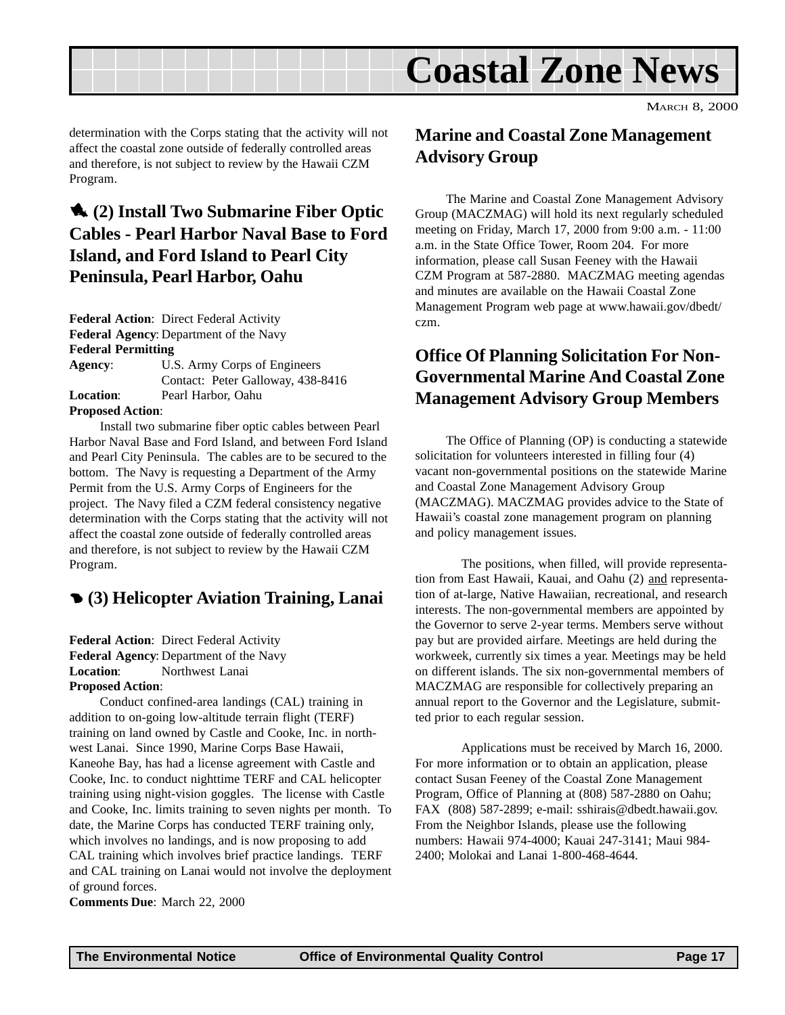<span id="page-16-0"></span>

determination with the Corps stating that the activity will not affect the coastal zone outside of federally controlled areas and therefore, is not subject to review by the Hawaii CZM Program.

## 1 **(2) Install Two Submarine Fiber Optic Cables - Pearl Harbor Naval Base to Ford Island, and Ford Island to Pearl City Peninsula, Pearl Harbor, Oahu**

**Federal Action**: Direct Federal Activity **Federal Agency**: Department of the Navy **Federal Permitting**

| Agency:                 | U.S. Army Corps of Engineers      |  |  |
|-------------------------|-----------------------------------|--|--|
|                         | Contact: Peter Galloway, 438-8416 |  |  |
| <b>Location:</b>        | Pearl Harbor, Oahu                |  |  |
| <b>Proposed Action:</b> |                                   |  |  |

Install two submarine fiber optic cables between Pearl Harbor Naval Base and Ford Island, and between Ford Island and Pearl City Peninsula. The cables are to be secured to the bottom. The Navy is requesting a Department of the Army Permit from the U.S. Army Corps of Engineers for the project. The Navy filed a CZM federal consistency negative determination with the Corps stating that the activity will not affect the coastal zone outside of federally controlled areas and therefore, is not subject to review by the Hawaii CZM Program.

## 4 **(3) Helicopter Aviation Training, Lanai**

**Federal Action**: Direct Federal Activity **Federal Agency**: Department of the Navy **Location**: Northwest Lanai **Proposed Action**:

Conduct confined-area landings (CAL) training in addition to on-going low-altitude terrain flight (TERF) training on land owned by Castle and Cooke, Inc. in northwest Lanai. Since 1990, Marine Corps Base Hawaii, Kaneohe Bay, has had a license agreement with Castle and Cooke, Inc. to conduct nighttime TERF and CAL helicopter training using night-vision goggles. The license with Castle and Cooke, Inc. limits training to seven nights per month. To date, the Marine Corps has conducted TERF training only, which involves no landings, and is now proposing to add CAL training which involves brief practice landings. TERF and CAL training on Lanai would not involve the deployment of ground forces.

**Comments Due**: March 22, 2000

## **Marine and Coastal Zone Management Advisory Group**

The Marine and Coastal Zone Management Advisory Group (MACZMAG) will hold its next regularly scheduled meeting on Friday, March 17, 2000 from 9:00 a.m. - 11:00 a.m. in the State Office Tower, Room 204. For more information, please call Susan Feeney with the Hawaii CZM Program at 587-2880. MACZMAG meeting agendas and minutes are available on the Hawaii Coastal Zone Management Program web page at www.hawaii.gov/dbedt/ czm.

## **Office Of Planning Solicitation For Non-Governmental Marine And Coastal Zone Management Advisory Group Members**

The Office of Planning (OP) is conducting a statewide solicitation for volunteers interested in filling four (4) vacant non-governmental positions on the statewide Marine and Coastal Zone Management Advisory Group (MACZMAG). MACZMAG provides advice to the State of Hawaii's coastal zone management program on planning and policy management issues.

The positions, when filled, will provide representation from East Hawaii, Kauai, and Oahu (2) and representation of at-large, Native Hawaiian, recreational, and research interests. The non-governmental members are appointed by the Governor to serve 2-year terms. Members serve without pay but are provided airfare. Meetings are held during the workweek, currently six times a year. Meetings may be held on different islands. The six non-governmental members of MACZMAG are responsible for collectively preparing an annual report to the Governor and the Legislature, submitted prior to each regular session.

Applications must be received by March 16, 2000. For more information or to obtain an application, please contact Susan Feeney of the Coastal Zone Management Program, Office of Planning at (808) 587-2880 on Oahu; FAX (808) 587-2899; e-mail: sshirais@dbedt.hawaii.gov. From the Neighbor Islands, please use the following numbers: Hawaii 974-4000; Kauai 247-3141; Maui 984- 2400; Molokai and Lanai 1-800-468-4644.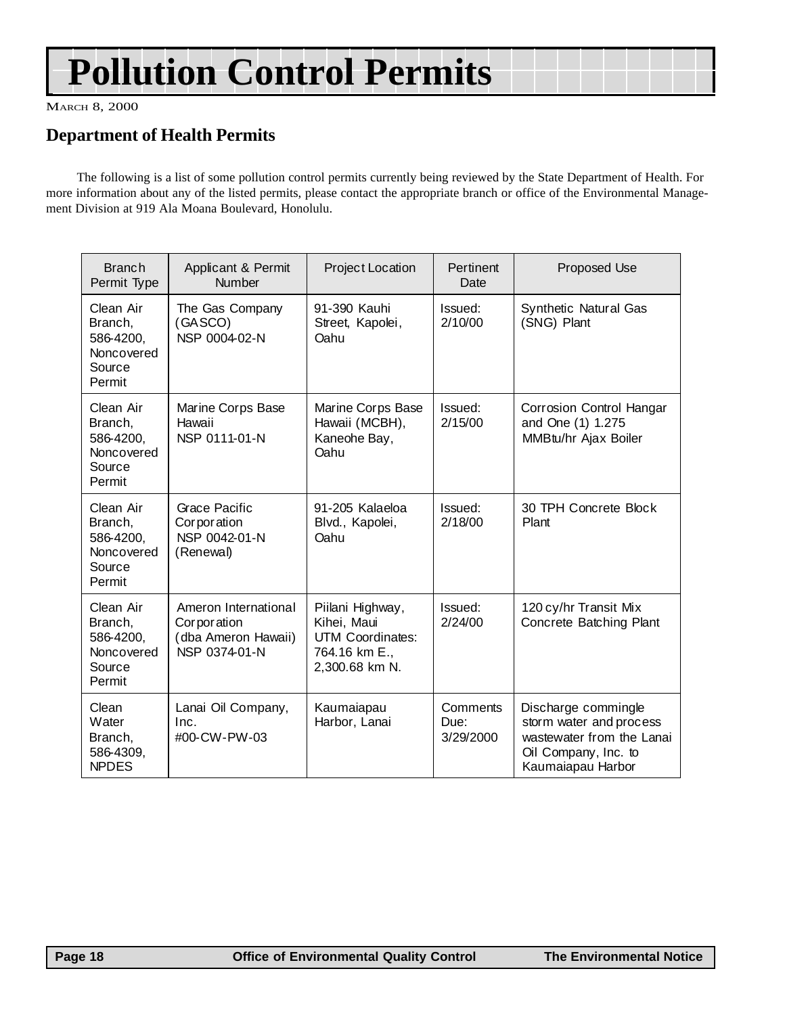## **Pollution Control Permits**

MARCH 8, 2000

## **Department of Health Permits**

The following is a list of some pollution control permits currently being reviewed by the State Department of Health. For more information about any of the listed permits, please contact the appropriate branch or office of the Environmental Management Division at 919 Ala Moana Boulevard, Honolulu.

| <b>Branch</b><br>Permit Type                                        | Applicant & Permit<br>Number                                                | Project Location                                                                              | Pertinent<br>Date             | Proposed Use                                                                                                             |
|---------------------------------------------------------------------|-----------------------------------------------------------------------------|-----------------------------------------------------------------------------------------------|-------------------------------|--------------------------------------------------------------------------------------------------------------------------|
| Clean Air<br>Branch,<br>586-4200,<br>Noncovered<br>Source<br>Permit | The Gas Company<br>(GASCO)<br>NSP 0004-02-N                                 | 91-390 Kauhi<br>Street, Kapolei,<br>Oahu                                                      | Issued:<br>2/10/00            | Synthetic Natural Gas<br>(SNG) Plant                                                                                     |
| Clean Air<br>Branch,<br>586-4200,<br>Noncovered<br>Source<br>Permit | Marine Corps Base<br>Hawaii<br>NSP 0111-01-N                                | Marine Corps Base<br>Hawaii (MCBH),<br>Kaneohe Bay,<br>Oahu                                   | Issued:<br>2/15/00            | Corrosion Control Hangar<br>and One (1) 1.275<br>MMBtu/hr Ajax Boiler                                                    |
| Clean Air<br>Branch,<br>586-4200,<br>Noncovered<br>Source<br>Permit | Grace Pacific<br>Corporation<br>NSP 0042-01-N<br>(Renewal)                  | 91-205 Kalaeloa<br>Blvd., Kapolei,<br>Oahu                                                    | Issued:<br>2/18/00            | 30 TPH Concrete Block<br>Plant                                                                                           |
| Clean Air<br>Branch,<br>586-4200,<br>Noncovered<br>Source<br>Permit | Ameron International<br>Corporation<br>(dba Ameron Hawaii)<br>NSP 0374-01-N | Piilani Highway,<br>Kihei, Maui<br><b>UTM Coordinates:</b><br>764.16 km E.,<br>2,300.68 km N. | Issued:<br>2/24/00            | 120 cy/hr Transit Mix<br>Concrete Batching Plant                                                                         |
| Clean<br>Water<br>Branch,<br>586-4309,<br><b>NPDES</b>              | Lanai Oil Company,<br>Inc.<br>#00-CW-PW-03                                  | Kaumaiapau<br>Harbor, Lanai                                                                   | Comments<br>Due:<br>3/29/2000 | Discharge commingle<br>storm water and process<br>wastewater from the Lanai<br>Oil Company, Inc. to<br>Kaumaiapau Harbor |